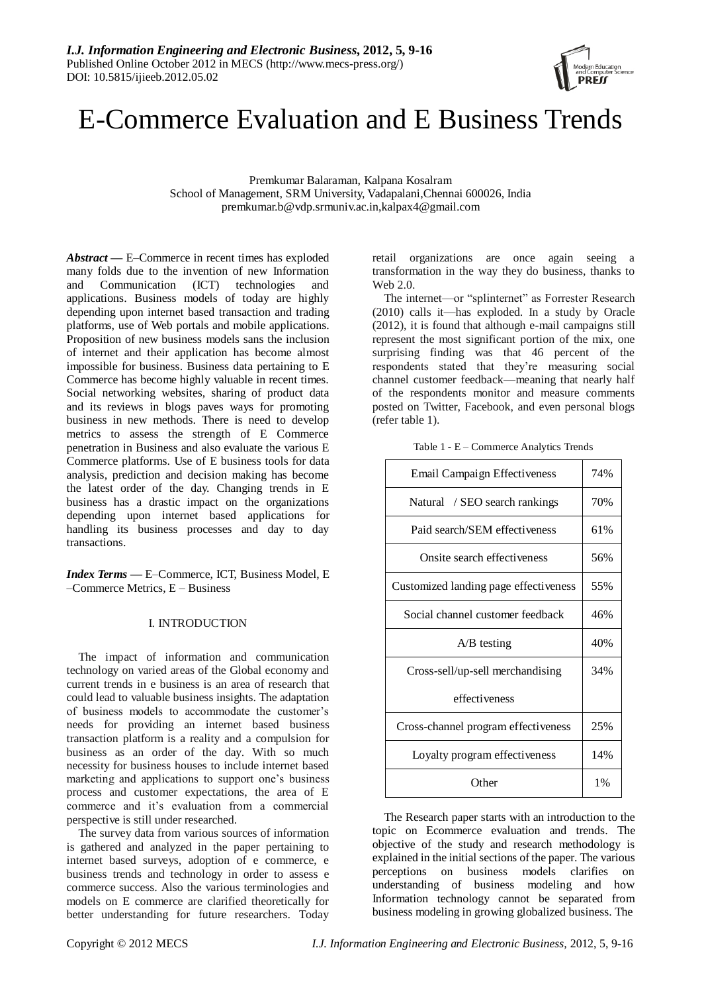

# E-Commerce Evaluation and E Business Trends

Premkumar Balaraman, Kalpana Kosalram School of Management, SRM University, Vadapalani,Chennai 600026, India premkumar.b@vdp.srmuniv.ac.in,kalpax4@gmail.com

*Abstract —* E–Commerce in recent times has exploded many folds due to the invention of new Information and Communication (ICT) technologies and applications. Business models of today are highly depending upon internet based transaction and trading platforms, use of Web portals and mobile applications. Proposition of new business models sans the inclusion of internet and their application has become almost impossible for business. Business data pertaining to E Commerce has become highly valuable in recent times. Social networking websites, sharing of product data and its reviews in blogs paves ways for promoting business in new methods. There is need to develop metrics to assess the strength of E Commerce penetration in Business and also evaluate the various E Commerce platforms. Use of E business tools for data analysis, prediction and decision making has become the latest order of the day. Changing trends in E business has a drastic impact on the organizations depending upon internet based applications for handling its business processes and day to day transactions.

*Index Terms —* E–Commerce, ICT, Business Model, E –Commerce Metrics, E – Business

## I. INTRODUCTION

The impact of information and communication technology on varied areas of the Global economy and current trends in e business is an area of research that could lead to valuable business insights. The adaptation of business models to accommodate the customer's needs for providing an internet based business transaction platform is a reality and a compulsion for business as an order of the day. With so much necessity for business houses to include internet based marketing and applications to support one's business process and customer expectations, the area of E commerce and it's evaluation from a commercial perspective is still under researched.

The survey data from various sources of information is gathered and analyzed in the paper pertaining to internet based surveys, adoption of e commerce, e business trends and technology in order to assess e commerce success. Also the various terminologies and models on E commerce are clarified theoretically for better understanding for future researchers. Today retail organizations are once again seeing a transformation in the way they do business, thanks to Web 2.0.

The internet—or "splinternet" as Forrester Research (2010) calls it—has exploded. In a study by Oracle (2012), it is found that although e-mail campaigns still represent the most significant portion of the mix, one surprising finding was that 46 percent of the respondents stated that they're measuring social channel customer feedback—meaning that nearly half of the respondents monitor and measure comments posted on Twitter, Facebook, and even personal blogs (refer table 1).

| Email Campaign Effectiveness          | 74% |
|---------------------------------------|-----|
| Natural / SEO search rankings         | 70% |
| Paid search/SEM effectiveness         | 61% |
| Onsite search effectiveness           | 56% |
| Customized landing page effectiveness | 55% |
| Social channel customer feedback      | 46% |
| $A/B$ testing                         | 40% |
| Cross-sell/up-sell merchandising      | 34% |
| effectiveness                         |     |
| Cross-channel program effectiveness   | 25% |
| Loyalty program effectiveness         | 14% |
| Other                                 | 1%  |

The Research paper starts with an introduction to the topic on Ecommerce evaluation and trends. The objective of the study and research methodology is explained in the initial sections of the paper. The various perceptions on business models clarifies on understanding of business modeling and how Information technology cannot be separated from business modeling in growing globalized business. The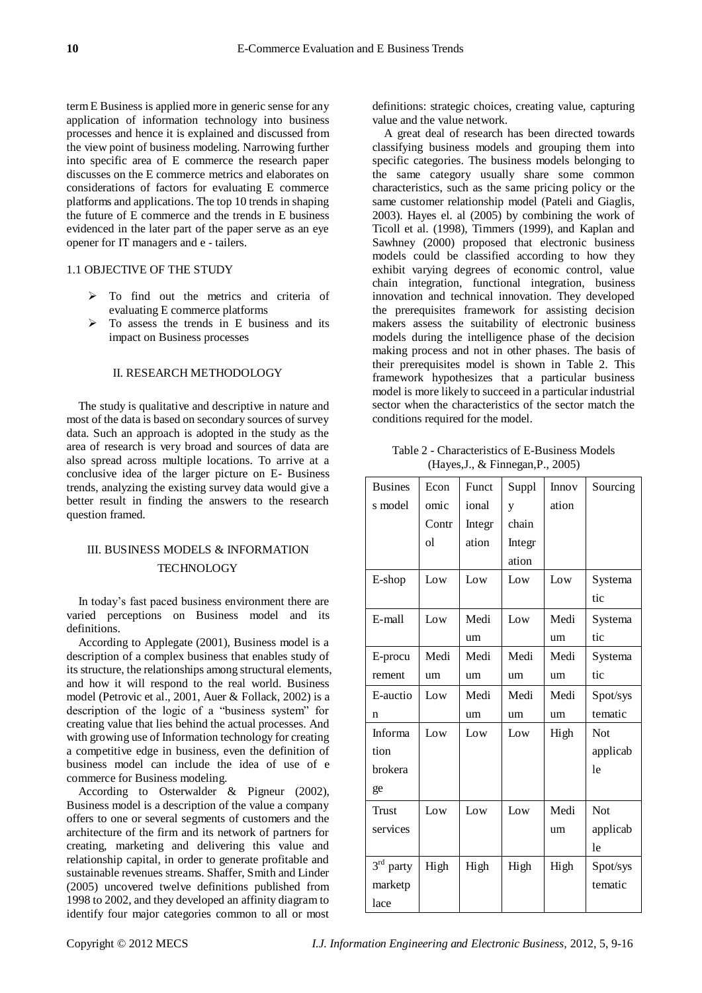term E Business is applied more in generic sense for any application of information technology into business processes and hence it is explained and discussed from the view point of business modeling. Narrowing further into specific area of E commerce the research paper discusses on the E commerce metrics and elaborates on considerations of factors for evaluating E commerce platforms and applications. The top 10 trends in shaping the future of E commerce and the trends in E business evidenced in the later part of the paper serve as an eye opener for IT managers and e - tailers.

#### 1.1 OBJECTIVE OF THE STUDY

- $\triangleright$  To find out the metrics and criteria of evaluating E commerce platforms
- $\triangleright$  To assess the trends in E business and its impact on Business processes

#### II. RESEARCH METHODOLOGY

The study is qualitative and descriptive in nature and most of the data is based on secondary sources of survey data. Such an approach is adopted in the study as the area of research is very broad and sources of data are also spread across multiple locations. To arrive at a conclusive idea of the larger picture on E- Business trends, analyzing the existing survey data would give a better result in finding the answers to the research question framed.

# III. BUSINESS MODELS & INFORMATION **TECHNOLOGY**

In today's fast paced business environment there are varied perceptions on Business model and its definitions.

According to Applegate (2001), Business model is a description of a complex business that enables study of its structure, the relationships among structural elements, and how it will respond to the real world. Business model (Petrovic et al., 2001, Auer & Follack, 2002) is a description of the logic of a "business system" for creating value that lies behind the actual processes. And with growing use of Information technology for creating a competitive edge in business, even the definition of business model can include the idea of use of e commerce for Business modeling.

According to Osterwalder & Pigneur (2002), Business model is a description of the value a company offers to one or several segments of customers and the architecture of the firm and its network of partners for creating, marketing and delivering this value and relationship capital, in order to generate profitable and sustainable revenues streams. Shaffer, Smith and Linder (2005) uncovered twelve definitions published from 1998 to 2002, and they developed an affinity diagram to identify four major categories common to all or most

definitions: strategic choices, creating value, capturing value and the value network.

A great deal of research has been directed towards classifying business models and grouping them into specific categories. The business models belonging to the same category usually share some common characteristics, such as the same pricing policy or the same customer relationship model (Pateli and Giaglis, 2003). Hayes el. al (2005) by combining the work of Ticoll et al. (1998), Timmers (1999), and Kaplan and Sawhney (2000) proposed that electronic business models could be classified according to how they exhibit varying degrees of economic control, value chain integration, functional integration, business innovation and technical innovation. They developed the prerequisites framework for assisting decision makers assess the suitability of electronic business models during the intelligence phase of the decision making process and not in other phases. The basis of their prerequisites model is shown in Table 2. This framework hypothesizes that a particular business model is more likely to succeed in a particular industrial sector when the characteristics of the sector match the conditions required for the model.

Table 2 - Characteristics of E-Business Models (Hayes,J., & Finnegan,P., 2005)

| <b>Busines</b> | Econ  | Funct  | Suppl  | Innov | Sourcing   |
|----------------|-------|--------|--------|-------|------------|
| s model        | omic  | ional  | y      | ation |            |
|                | Contr | Integr | chain  |       |            |
|                | οl    | ation  | Integr |       |            |
|                |       |        | ation  |       |            |
| E-shop         | Low   | Low    | Low    | Low   | Systema    |
|                |       |        |        |       | tic        |
| E-mall         | Low   | Medi   | Low    | Medi  | Systema    |
|                |       | um     |        | um    | tic        |
| E-procu        | Medi  | Medi   | Medi   | Medi  | Systema    |
| rement         | um    | um     | um     | um    | tic        |
| E-auctio       | Low   | Medi   | Medi   | Medi  | Spot/sys   |
| n              |       | um     | um     | um    | tematic    |
| Informa        | Low   | Low    | Low    | High  | Not        |
| tion           |       |        |        |       | applicab   |
| brokera        |       |        |        |       | le         |
| ge             |       |        |        |       |            |
| Trust          | Low   | Low    | Low    | Medi  | <b>Not</b> |
| services       |       |        |        | um    | applicab   |
|                |       |        |        |       | le         |
| $3rd$ party    | High  | High   | High   | High  | Spot/sys   |
| marketp        |       |        |        |       | tematic    |
| lace           |       |        |        |       |            |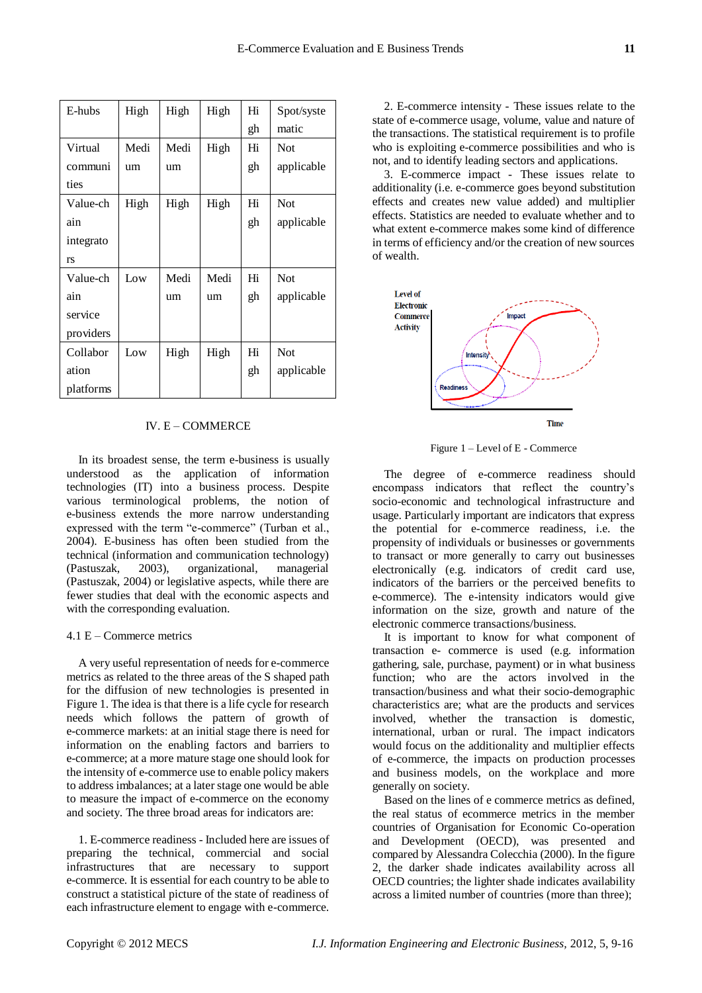| E-hubs    | High | High | High | Hi | Spot/syste |
|-----------|------|------|------|----|------------|
|           |      |      |      | gh | matic      |
| Virtual   | Medi | Medi | High | Hi | <b>Not</b> |
| communi   | um   | um   |      | gh | applicable |
| ties      |      |      |      |    |            |
| Value-ch  | High | High | High | Hi | <b>Not</b> |
| ain       |      |      |      | gh | applicable |
| integrato |      |      |      |    |            |
| <b>rs</b> |      |      |      |    |            |
| Value-ch  | Low  | Medi | Medi | Hi | <b>Not</b> |
| ain       |      | um   | um   | gh | applicable |
| service   |      |      |      |    |            |
| providers |      |      |      |    |            |
| Collabor  | Low  | High | High | Hi | <b>Not</b> |
| ation     |      |      |      | gh | applicable |
| platforms |      |      |      |    |            |

#### IV. E – COMMERCE

In its broadest sense, the term e-business is usually understood as the application of information technologies (IT) into a business process. Despite various terminological problems, the notion of e-business extends the more narrow understanding expressed with the term "e-commerce" (Turban et al., 2004). E-business has often been studied from the technical (information and communication technology) (Pastuszak, 2003), organizational, managerial (Pastuszak, 2004) or legislative aspects, while there are fewer studies that deal with the economic aspects and with the corresponding evaluation.

#### 4.1 E – Commerce metrics

A very useful representation of needs for e-commerce metrics as related to the three areas of the S shaped path for the diffusion of new technologies is presented in Figure 1. The idea is that there is a life cycle for research needs which follows the pattern of growth of e-commerce markets: at an initial stage there is need for information on the enabling factors and barriers to e-commerce; at a more mature stage one should look for the intensity of e-commerce use to enable policy makers to address imbalances; at a later stage one would be able to measure the impact of e-commerce on the economy and society. The three broad areas for indicators are:

1. E-commerce readiness - Included here are issues of preparing the technical, commercial and social infrastructures that are necessary to support e-commerce. It is essential for each country to be able to construct a statistical picture of the state of readiness of each infrastructure element to engage with e-commerce.

2. E-commerce intensity - These issues relate to the state of e-commerce usage, volume, value and nature of the transactions. The statistical requirement is to profile who is exploiting e-commerce possibilities and who is not, and to identify leading sectors and applications.

3. E-commerce impact - These issues relate to additionality (i.e. e-commerce goes beyond substitution effects and creates new value added) and multiplier effects. Statistics are needed to evaluate whether and to what extent e-commerce makes some kind of difference in terms of efficiency and/or the creation of new sources of wealth.



Figure 1 – Level of E - Commerce

The degree of e-commerce readiness should encompass indicators that reflect the country's socio-economic and technological infrastructure and usage. Particularly important are indicators that express the potential for e-commerce readiness, i.e. the propensity of individuals or businesses or governments to transact or more generally to carry out businesses electronically (e.g. indicators of credit card use, indicators of the barriers or the perceived benefits to e-commerce). The e-intensity indicators would give information on the size, growth and nature of the electronic commerce transactions/business.

It is important to know for what component of transaction e- commerce is used (e.g. information gathering, sale, purchase, payment) or in what business function; who are the actors involved in the transaction/business and what their socio-demographic characteristics are; what are the products and services involved, whether the transaction is domestic, international, urban or rural. The impact indicators would focus on the additionality and multiplier effects of e-commerce, the impacts on production processes and business models, on the workplace and more generally on society.

Based on the lines of e commerce metrics as defined, the real status of ecommerce metrics in the member countries of Organisation for Economic Co-operation and Development (OECD), was presented and compared by Alessandra Colecchia (2000). In the figure 2, the darker shade indicates availability across all OECD countries; the lighter shade indicates availability across a limited number of countries (more than three);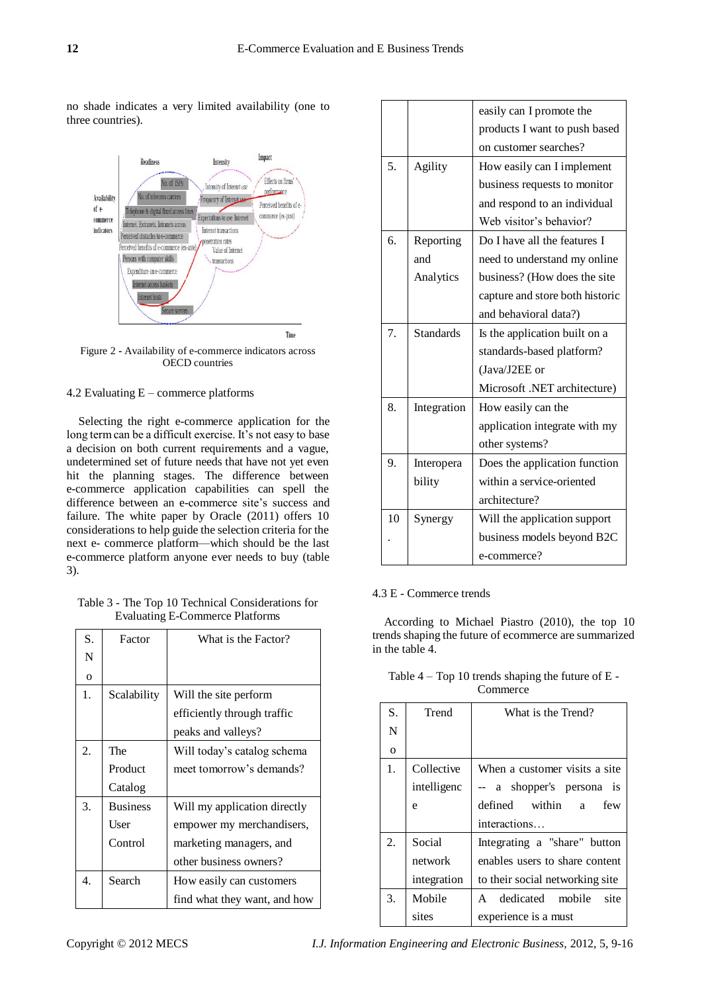no shade indicates a very limited availability (one to three countries).



Figure 2 **-** Availability of e-commerce indicators across OECD countries

#### 4.2 Evaluating E – commerce platforms

Selecting the right e-commerce application for the long term can be a difficult exercise. It's not easy to base a decision on both current requirements and a vague, undetermined set of future needs that have not yet even hit the planning stages. The difference between e-commerce application capabilities can spell the difference between an e-commerce site's success and failure. The white paper by Oracle (2011) offers 10 considerations to help guide the selection criteria for the next e- commerce platform—which should be the last e-commerce platform anyone ever needs to buy (table 3).

Table 3 - The Top 10 Technical Considerations for Evaluating E-Commerce Platforms

| S.       | Factor          | What is the Factor?          |
|----------|-----------------|------------------------------|
| N        |                 |                              |
| $\Omega$ |                 |                              |
| 1.       | Scalability     | Will the site perform        |
|          |                 | efficiently through traffic  |
|          |                 | peaks and valleys?           |
| 2.       | The             | Will today's catalog schema  |
|          | Product         | meet tomorrow's demands?     |
|          | Catalog         |                              |
| 3.       | <b>Business</b> | Will my application directly |
|          | User            | empower my merchandisers,    |
|          | Control         | marketing managers, and      |
|          |                 | other business owners?       |
| 4.       | Search          | How easily can customers     |
|          |                 | find what they want, and how |

|    |                  | easily can I promote the        |
|----|------------------|---------------------------------|
|    |                  | products I want to push based   |
|    |                  | on customer searches?           |
| 5. | Agility          | How easily can I implement      |
|    |                  | business requests to monitor    |
|    |                  | and respond to an individual    |
|    |                  | Web visitor's behavior?         |
| 6. | Reporting        | Do I have all the features I    |
|    | and              | need to understand my online    |
|    | Analytics        | business? (How does the site    |
|    |                  | capture and store both historic |
|    |                  | and behavioral data?)           |
| 7. | <b>Standards</b> | Is the application built on a   |
|    |                  | standards-based platform?       |
|    |                  | (Java/J2EE or                   |
|    |                  | Microsoft .NET architecture)    |
| 8. | Integration      | How easily can the              |
|    |                  | application integrate with my   |
|    |                  | other systems?                  |
| 9. | Interopera       | Does the application function   |
|    | bility           | within a service-oriented       |
|    |                  | architecture?                   |
| 10 | Synergy          | Will the application support    |
|    |                  | business models beyond B2C      |
|    |                  | e-commerce?                     |

## 4.3 E - Commerce trends

According to Michael Piastro (2010), the top 10 trends shaping the future of ecommerce are summarized in the table 4.

| Table $4 - Top 10$ trends shaping the future of $E -$ |  |
|-------------------------------------------------------|--|
| Commerce                                              |  |

| S. | Trend       | What is the Trend?                          |
|----|-------------|---------------------------------------------|
| N  |             |                                             |
| O  |             |                                             |
| 1. | Collective  | When a customer visits a site               |
|    | intelligenc | -- a shopper's persona is                   |
|    | e           | defined within a<br>few                     |
|    |             | interactions                                |
| 2. | Social      | Integrating a "share" button                |
|    | network     | enables users to share content              |
|    | integration | to their social networking site             |
| 3. | Mobile      | dedicated<br>mobile<br>site<br>$\mathsf{A}$ |
|    | sites       | experience is a must                        |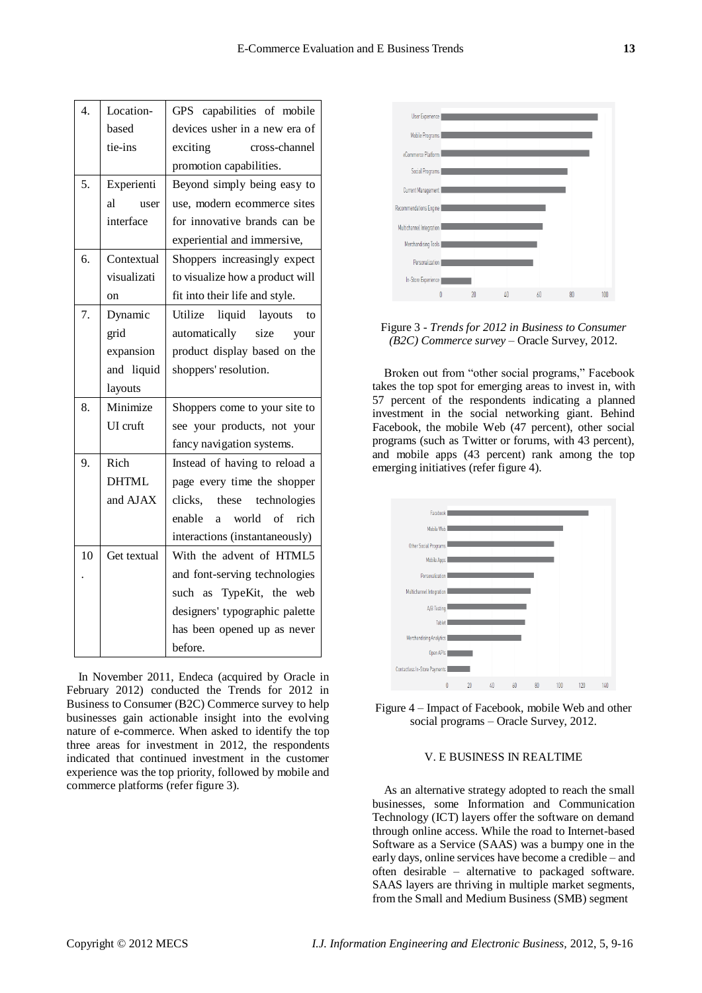| 4. | Location-    | GPS capabilities of mobile         |
|----|--------------|------------------------------------|
|    | based        | devices usher in a new era of      |
|    | tie-ins      | exciting<br>cross-channel          |
|    |              | promotion capabilities.            |
| 5. | Experienti   | Beyond simply being easy to        |
|    | al<br>user   | use, modern ecommerce sites        |
|    | interface    | for innovative brands can be       |
|    |              | experiential and immersive,        |
| 6. | Contextual   | Shoppers increasingly expect       |
|    | visualizati  | to visualize how a product will    |
|    | on           | fit into their life and style.     |
| 7. | Dynamic      | liquid layouts<br>Utilize<br>to    |
|    | grid         | automatically<br>size<br>your      |
|    | expansion    | product display based on the       |
|    | and liquid   | shoppers' resolution.              |
|    | layouts      |                                    |
| 8. | Minimize     | Shoppers come to your site to      |
|    | UI cruft     | see your products, not your        |
|    |              | fancy navigation systems.          |
| 9. | Rich         | Instead of having to reload a      |
|    | <b>DHTML</b> | page every time the shopper        |
|    | and AJAX     | clicks,<br>these technologies      |
|    |              | enable<br>world<br>rich<br>of<br>a |
|    |              | interactions (instantaneously)     |
| 10 | Get textual  | With the advent of HTML5           |
|    |              | and font-serving technologies      |
|    |              | such as TypeKit, the web           |
|    |              | designers' typographic palette     |
|    |              | has been opened up as never        |
|    |              | before.                            |

In November 2011, Endeca (acquired by Oracle in February 2012) conducted the Trends for 2012 in Business to Consumer (B2C) Commerce survey to help businesses gain actionable insight into the evolving nature of e-commerce. When asked to identify the top three areas for investment in 2012, the respondents indicated that continued investment in the customer experience was the top priority, followed by mobile and commerce platforms (refer figure 3).





Broken out from "other social programs," Facebook takes the top spot for emerging areas to invest in, with 57 percent of the respondents indicating a planned investment in the social networking giant. Behind Facebook, the mobile Web (47 percent), other social programs (such as Twitter or forums, with 43 percent), and mobile apps (43 percent) rank among the top emerging initiatives (refer figure 4).



Figure 4 – Impact of Facebook, mobile Web and other social programs – Oracle Survey, 2012.

#### V. E BUSINESS IN REALTIME

As an alternative strategy adopted to reach the small businesses, some Information and Communication Technology (ICT) layers offer the software on demand through online access. While the road to Internet-based Software as a Service (SAAS) was a bumpy one in the early days, online services have become a credible – and often desirable – alternative to packaged software. SAAS layers are thriving in multiple market segments, from the Small and Medium Business (SMB) segment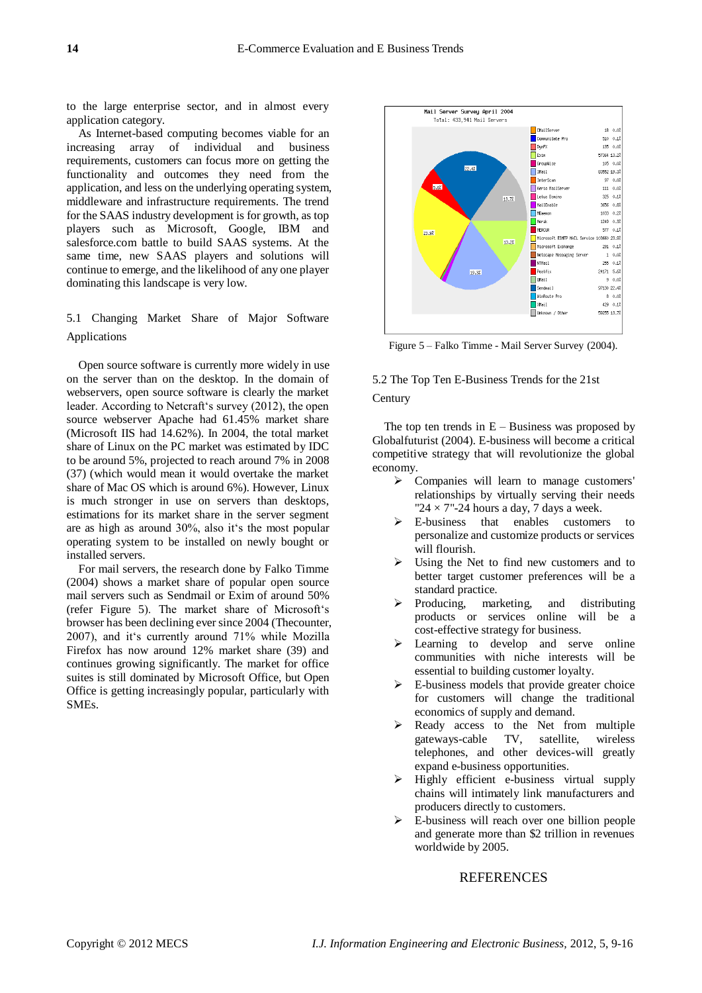to the large enterprise sector, and in almost every application category.

As Internet-based computing becomes viable for an increasing array of individual and business requirements, customers can focus more on getting the functionality and outcomes they need from the application, and less on the underlying operating system, middleware and infrastructure requirements. The trend for the SAAS industry development is for growth, as top players such as Microsoft, Google, IBM and salesforce.com battle to build SAAS systems. At the same time, new SAAS players and solutions will continue to emerge, and the likelihood of any one player dominating this landscape is very low.

# 5.1 Changing Market Share of Major Software Applications

Open source software is currently more widely in use on the server than on the desktop. In the domain of webservers, open source software is clearly the market leader. According to Netcraft's survey (2012), the open source webserver Apache had 61.45% market share (Microsoft IIS had 14.62%). In 2004, the total market share of Linux on the PC market was estimated by IDC to be around 5%, projected to reach around 7% in 2008 (37) (which would mean it would overtake the market share of Mac OS which is around 6%). However, Linux is much stronger in use on servers than desktops, estimations for its market share in the server segment are as high as around 30%, also it's the most popular operating system to be installed on newly bought or installed servers.

For mail servers, the research done by Falko Timme (2004) shows a market share of popular open source mail servers such as Sendmail or Exim of around 50% (refer Figure 5). The market share of Microsoft's browser has been declining ever since 2004 (Thecounter, 2007), and it's currently around 71% while Mozilla Firefox has now around 12% market share (39) and continues growing significantly. The market for office suites is still dominated by Microsoft Office, but Open Office is getting increasingly popular, particularly with SMEs.



Figure 5 – Falko Timme - Mail Server Survey (2004).

# 5.2 The Top Ten E-Business Trends for the 21st **Century**

The top ten trends in  $E -$ Business was proposed by Globalfuturist (2004). E-business will become a critical competitive strategy that will revolutionize the global economy.

- Companies will learn to manage customers' relationships by virtually serving their needs "24  $\times$  7"-24 hours a day, 7 days a week.
- E-business that enables customers to personalize and customize products or services will flourish.
- Using the Net to find new customers and to better target customer preferences will be a standard practice.
- $\triangleright$  Producing, marketing, and distributing products or services online will be a cost-effective strategy for business.
- > Learning to develop and serve online communities with niche interests will be essential to building customer loyalty.
- $\triangleright$  E-business models that provide greater choice for customers will change the traditional economics of supply and demand.
- Ready access to the Net from multiple gateways-cable TV, satellite, wireless telephones, and other devices-will greatly expand e-business opportunities.
- $\triangleright$  Highly efficient e-business virtual supply chains will intimately link manufacturers and producers directly to customers.
- E-business will reach over one billion people and generate more than \$2 trillion in revenues worldwide by 2005.

## REFERENCES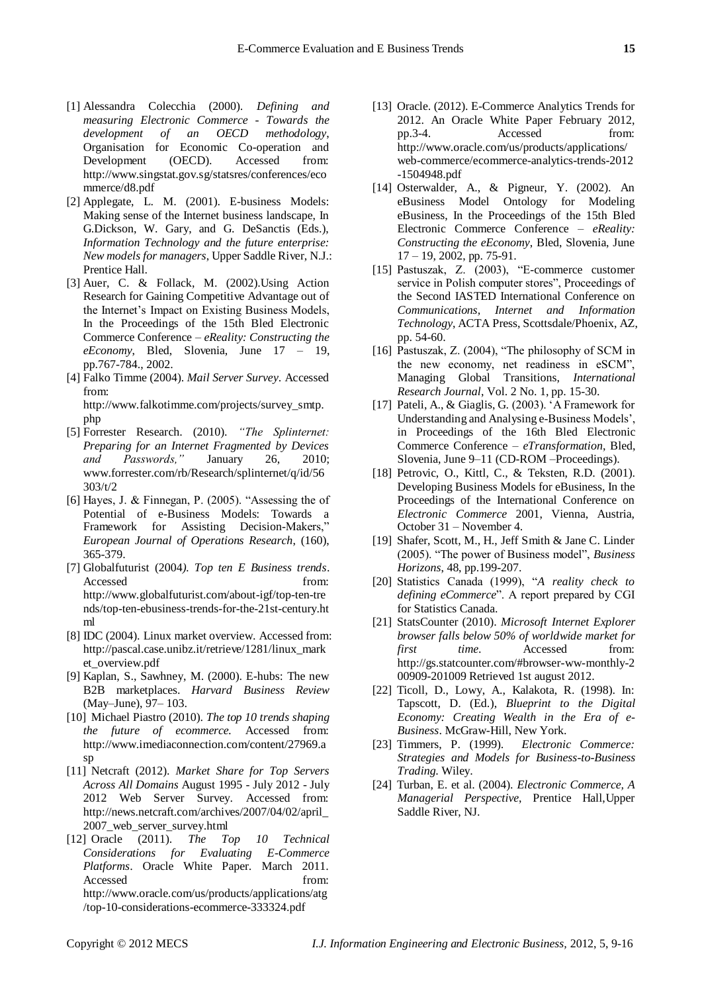- [1] Alessandra Colecchia (2000). *Defining and measuring Electronic Commerce - Towards the development of an OECD methodology*, Organisation for Economic Co-operation and Development (OECD). Accessed from: http://www.singstat.gov.sg/statsres/conferences/eco mmerce/d8.pdf
- [2] Applegate, L. M. (2001). E-business Models: Making sense of the Internet business landscape, In G.Dickson, W. Gary, and G. DeSanctis (Eds.), *Information Technology and the future enterprise: New models for managers*, Upper Saddle River, N.J.: Prentice Hall.
- [3] Auer, C. & Follack, M. (2002).Using Action Research for Gaining Competitive Advantage out of the Internet's Impact on Existing Business Models, In the Proceedings of the 15th Bled Electronic Commerce Conference – *eReality: Constructing the eEconomy*, Bled, Slovenia, June 17 – 19, pp.767-784., 2002.
- [4] Falko Timme (2004). *Mail Server Survey*. Accessed from: http://www.falkotimme.com/projects/survey\_smtp.

php

- [5] Forrester Research. (2010). *"The Splinternet: Preparing for an Internet Fragmented by Devices and Passwords,"* January 26, 2010; [www.forrester.com/rb/Research/splinternet/q/id/56](http://www.forrester.com/rb/Research/splinternet/q/id/56303/t/2) [303/t/2](http://www.forrester.com/rb/Research/splinternet/q/id/56303/t/2)
- [6] Hayes, J. & Finnegan, P.  $(2005)$ . "Assessing the of Potential of e-Business Models: Towards a Framework for Assisting Decision-Makers," *European Journal of Operations Research*, (160), 365-379.
- [7] Globalfuturist (2004*). Top ten E Business trends*. Accessed from: [http://www.globalfuturist.com/about-igf/top-ten-tre](http://www.globalfuturist.com/about-igf/top-ten-trends/top-ten-ebusiness-trends-for-the-21st-century.html) [nds/top-ten-ebusiness-trends-for-the-21st-century.ht](http://www.globalfuturist.com/about-igf/top-ten-trends/top-ten-ebusiness-trends-for-the-21st-century.html) [ml](http://www.globalfuturist.com/about-igf/top-ten-trends/top-ten-ebusiness-trends-for-the-21st-century.html)
- [8] IDC (2004). Linux market overview. Accessed from: [http://pascal.case.unibz.it/retrieve/1281/linux\\_mark](http://pascal.case.unibz.it/retrieve/1281/linux_market_overview.pdf) [et\\_overview.pdf](http://pascal.case.unibz.it/retrieve/1281/linux_market_overview.pdf)
- [9] Kaplan, S., Sawhney, M. (2000). E-hubs: The new B2B marketplaces. *Harvard Business Review* (May–June), 97– 103.
- [10] Michael Piastro (2010). *The top 10 trends shaping the future of ecommerce.* Accessed from: [http://www.imediaconnection.com/content/27969.a](http://www.imediaconnection.com/content/27969.asp) [sp](http://www.imediaconnection.com/content/27969.asp)
- [11] Netcraft (2012). *Market Share for Top Servers Across All Domains* August 1995 - July 2012 - July 2012 Web Server Survey. Accessed from: [http://news.netcraft.com/archives/2007/04/02/april\\_](http://news.netcraft.com/archives/2007/04/02/april_2007_web_server_survey.html) [2007\\_web\\_server\\_survey.html](http://news.netcraft.com/archives/2007/04/02/april_2007_web_server_survey.html)
- [12] Oracle (2011). *The Top 10 Technical Considerations for Evaluating E-Commerce Platforms*. Oracle White Paper. March 2011. Accessed from: [http://www.oracle.com/us/products/applications/atg](http://www.oracle.com/us/products/applications/atg/top-10-considerations-ecommerce-333324.pdf) [/top-10-considerations-ecommerce-333324.pdf](http://www.oracle.com/us/products/applications/atg/top-10-considerations-ecommerce-333324.pdf)
- [13] Oracle. (2012). E-Commerce Analytics Trends for 2012. An Oracle White Paper February 2012, pp.3-4. Accessed from: [http://www.oracle.com/us/products/applications/](http://www.oracle.com/us/products/applications/web-commerce/ecommerce-analytics-trends-2012-1504948.pdf) [web-commerce/ecommerce-analytics-trends-2012](http://www.oracle.com/us/products/applications/web-commerce/ecommerce-analytics-trends-2012-1504948.pdf) [-1504948.pdf](http://www.oracle.com/us/products/applications/web-commerce/ecommerce-analytics-trends-2012-1504948.pdf)
- [14] Osterwalder, A., & Pigneur, Y. (2002). An eBusiness Model Ontology for Modeling eBusiness, In the Proceedings of the 15th Bled Electronic Commerce Conference – *eReality: Constructing the eEconomy*, Bled, Slovenia, June 17 – 19, 2002, pp. 75-91.
- [15] Pastuszak, Z.  $(2003)$ , "E-commerce customer service in Polish computer stores", Proceedings of the Second IASTED International Conference on *Communications, Internet and Information Technology*, ACTA Press, Scottsdale/Phoenix, AZ, pp. 54-60.
- [16] Pastuszak, Z. (2004), "The philosophy of SCM in the new economy, net readiness in eSCM", Managing Global Transitions, *International Research Journal*, Vol. 2 No. 1, pp. 15-30.
- [17] Pateli, A., & Giaglis, G. (2003). ‗A Framework for Understanding and Analysing e-Business Models', in Proceedings of the 16th Bled Electronic Commerce Conference – *eTransformation*, Bled, Slovenia, June 9–11 (CD-ROM –Proceedings).
- [18] Petrovic, O., Kittl, C., & Teksten, R.D. (2001). Developing Business Models for eBusiness, In the Proceedings of the International Conference on *Electronic Commerce* 2001, Vienna, Austria, October 31 – November 4.
- [19] Shafer, Scott, M., H., Jeff Smith & Jane C. Linder (2005). "The power of Business model", *Business Horizons*, 48, pp.199-207.
- [20] Statistics Canada (1999), "A reality check to *defining eCommerce*". A report prepared by CGI for Statistics Canada.
- [21] StatsCounter (2010). *Microsoft Internet Explorer browser falls below 50% of worldwide market for first time*. Accessed from: [http://gs.statcounter.com/#browser-ww-monthly-2](http://gs.statcounter.com/#browser-ww-monthly-200909-201009) [00909-201009](http://gs.statcounter.com/#browser-ww-monthly-200909-201009) Retrieved 1st august 2012.
- [22] Ticoll, D., Lowy, A., Kalakota, R. (1998). In: Tapscott, D. (Ed.), *Blueprint to the Digital Economy: Creating Wealth in the Era of e-Business*. McGraw-Hill, New York.
- [23] Timmers, P. (1999). *Electronic Commerce: Strategies and Models for Business-to-Business Trading*. Wiley.
- [24] Turban, E. et al. (2004). *Electronic Commerce, A Managerial Perspective*, Prentice Hall,Upper Saddle River, NJ.